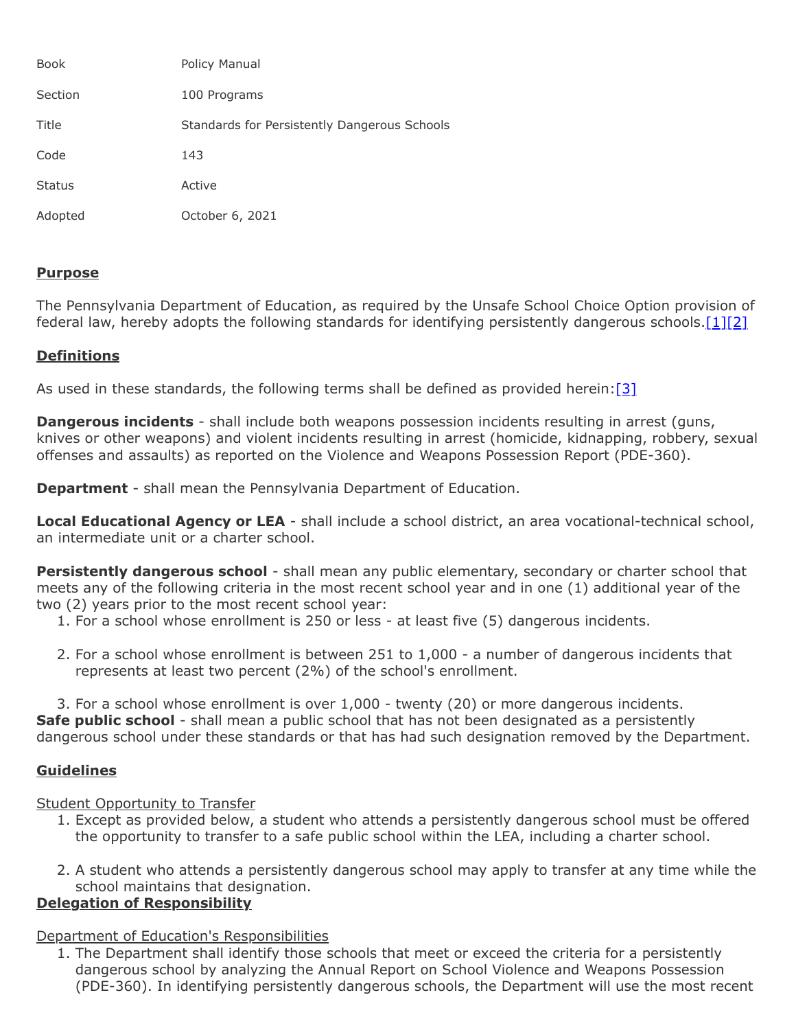| <b>Book</b>   | Policy Manual                                |
|---------------|----------------------------------------------|
| Section       | 100 Programs                                 |
| Title         | Standards for Persistently Dangerous Schools |
| Code          | 143                                          |
| <b>Status</b> | Active                                       |
| Adopted       | October 6, 2021                              |

### **Purpose**

The Pennsylvania Department of Education, as required by the Unsafe School Choice Option provision of federal law, hereby adopts the following standards for identifying persistently dangerous schools. $[1][2]$  $[1][2]$ 

### **Definitions**

As used in these standards, the following terms shall be defined as provided herein:  $[3]$ 

**Dangerous incidents** - shall include both weapons possession incidents resulting in arrest (guns, knives or other weapons) and violent incidents resulting in arrest (homicide, kidnapping, robbery, sexual offenses and assaults) as reported on the Violence and Weapons Possession Report (PDE-360).

**Department** - shall mean the Pennsylvania Department of Education.

**Local Educational Agency or LEA** - shall include a school district, an area vocational-technical school, an intermediate unit or a charter school.

**Persistently dangerous school** - shall mean any public elementary, secondary or charter school that meets any of the following criteria in the most recent school year and in one (1) additional year of the two (2) years prior to the most recent school year:

- 1. For a school whose enrollment is 250 or less at least five (5) dangerous incidents.
- 2. For a school whose enrollment is between 251 to 1,000 a number of dangerous incidents that represents at least two percent (2%) of the school's enrollment.

3. For a school whose enrollment is over 1,000 - twenty (20) or more dangerous incidents. **Safe public school** - shall mean a public school that has not been designated as a persistently dangerous school under these standards or that has had such designation removed by the Department.

# **Guidelines**

# Student Opportunity to Transfer

- 1. Except as provided below, a student who attends a persistently dangerous school must be offered the opportunity to transfer to a safe public school within the LEA, including a charter school.
- 2. A student who attends a persistently dangerous school may apply to transfer at any time while the school maintains that designation.

# **Delegation of Responsibility**

# Department of Education's Responsibilities

1. The Department shall identify those schools that meet or exceed the criteria for a persistently dangerous school by analyzing the Annual Report on School Violence and Weapons Possession (PDE-360). In identifying persistently dangerous schools, the Department will use the most recent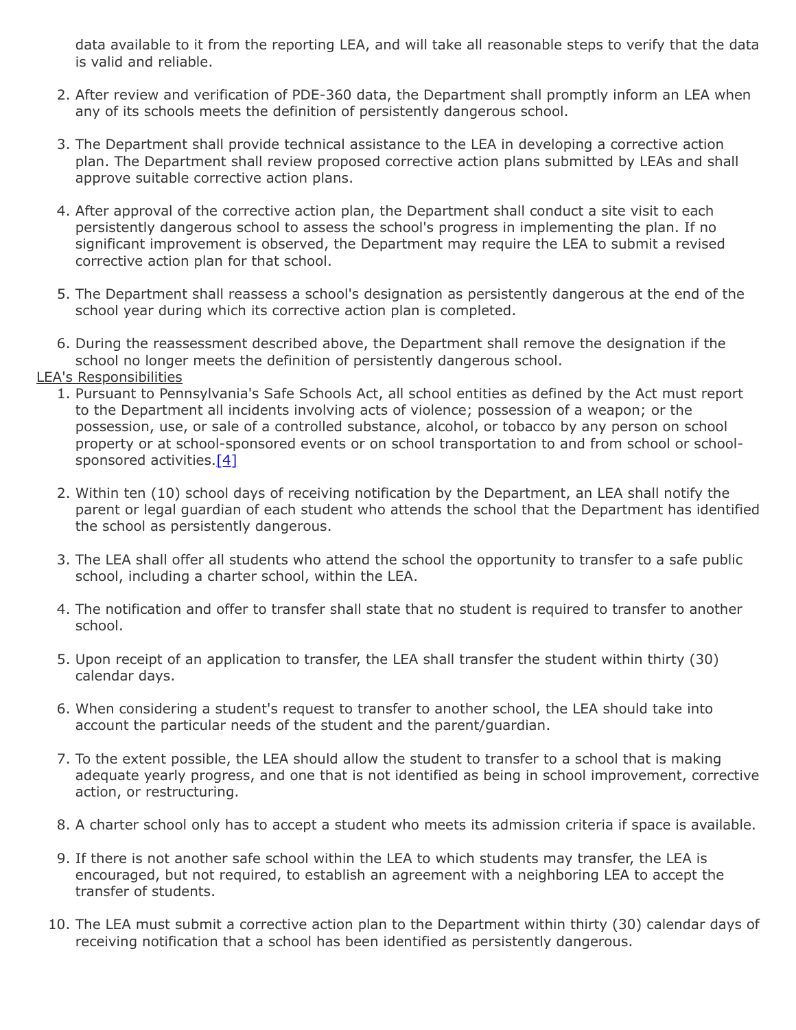data available to it from the reporting LEA, and will take all reasonable steps to verify that the data is valid and reliable.

- 2. After review and verification of PDE-360 data, the Department shall promptly inform an LEA when any of its schools meets the definition of persistently dangerous school.
- 3. The Department shall provide technical assistance to the LEA in developing a corrective action plan. The Department shall review proposed corrective action plans submitted by LEAs and shall approve suitable corrective action plans.
- 4. After approval of the corrective action plan, the Department shall conduct a site visit to each persistently dangerous school to assess the school's progress in implementing the plan. If no significant improvement is observed, the Department may require the LEA to submit a revised corrective action plan for that school.
- 5. The Department shall reassess a school's designation as persistently dangerous at the end of the school year during which its corrective action plan is completed.
- 6. During the reassessment described above, the Department shall remove the designation if the school no longer meets the definition of persistently dangerous school.

#### LEA's Responsibilities

- 1. Pursuant to Pennsylvania's Safe Schools Act, all school entities as defined by the Act must report to the Department all incidents involving acts of violence; possession of a weapon; or the possession, use, or sale of a controlled substance, alcohol, or tobacco by any person on school property or at school-sponsored events or on school transportation to and from school or schoolsponsored activities. $[4]$
- 2. Within ten (10) school days of receiving notification by the Department, an LEA shall notify the parent or legal guardian of each student who attends the school that the Department has identified the school as persistently dangerous.
- 3. The LEA shall offer all students who attend the school the opportunity to transfer to a safe public school, including a charter school, within the LEA.
- 4. The notification and offer to transfer shall state that no student is required to transfer to another school.
- 5. Upon receipt of an application to transfer, the LEA shall transfer the student within thirty (30) calendar days.
- 6. When considering a student's request to transfer to another school, the LEA should take into account the particular needs of the student and the parent/guardian.
- 7. To the extent possible, the LEA should allow the student to transfer to a school that is making adequate yearly progress, and one that is not identified as being in school improvement, corrective action, or restructuring.
- 8. A charter school only has to accept a student who meets its admission criteria if space is available.
- 9. If there is not another safe school within the LEA to which students may transfer, the LEA is encouraged, but not required, to establish an agreement with a neighboring LEA to accept the transfer of students.
- 10. The LEA must submit a corrective action plan to the Department within thirty (30) calendar days of receiving notification that a school has been identified as persistently dangerous.